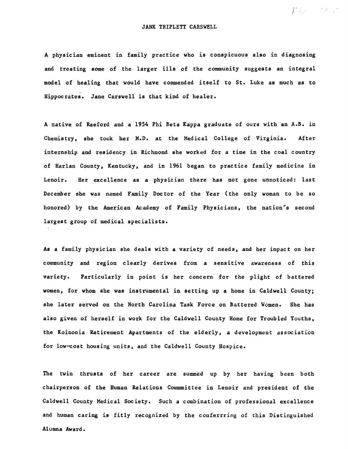$\int_{0}^{1}\frac{d\mu}{d\mu}\int_{0}^{1}\frac{d\mu}{\nu}=-\frac{1}{2}\left(\frac{d\mu}{\nu}\right)^{2}d\mu\int_{0}^{1}\frac{d\mu}{\nu}$ 

## JANE TRIPLETT CARSWELL

A physician eminent in family practice who is conspicuous also in diagnosing and treating some of the larger ills of the community suggests an integral model of healing that would have commended itself to St. Luke as much as to Hippocrates. Jane Carswell is that kind of healer.

A native of Raeford and a 1954 Phi Beta Kappa graduate of ours with an A.B. in Chemistry. she took her M.D. at the Medical College of. Virginia. After internship and residency in Richmond she worked for a time in the coal country of Harlan County, Kentucky, and in 1961 began to practice family medicine in Lenoir. Her excellence as a physician there has not gone unnoticed: last December she was named Family Doc tor of the Year (the only woman to be so honored) by the American Academy of Family Physicians, the nation's second largest group of medical specialists.

As a family physician she deals with a variety of needs, and her impact on her community and region clearly derives from a sensitive awareness of this variety. Particularly in point is her concern for the plight of battered women, for whom she was instrumental in setting up a home in Caldwell County; she later served on the North Carolina Task Force on Battered Women. She has also given of herself in work for the Caldwell County Home for Troubled Youths, the Koinonia Retirement Apartments of the elderly, a development association for low-cost housing units, and the Caldwell County Hospice.

The twin thrusts of her career are summed up by her having been both chairperson of the Human Relations Commmittee in Lenoir and president of the Caldwell County Medical Society. Such a combination of professional excellence and human caring is fitly recognized by the conferrring of this Distinguished Alumna Award.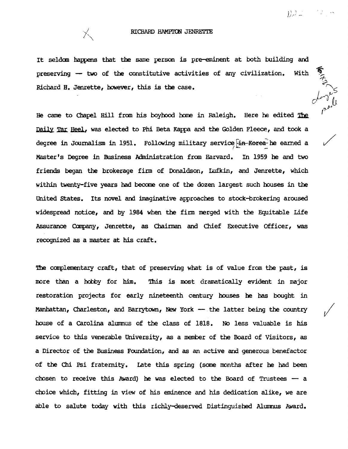اني.<br>م∙

*o-};* 

 $\sqrt{2}$ 

## RICHARD HAMPTON JENRETTE

It seldom happens that the same person is pre-eminent at both building and preserving - two of the constitutive activities of any civilization. With Richard H. Jenrette, however, this is the case.

He came to Chapel Hill from his boyhood home in Raleigh. Here he edited The Daily Tar Heel, was elected to Phi Beta Kappa and the Golden Fleece, and took a Daily Tar Heel, was elected to Phi Beta Kappa and the Golden Fleece, and took a<br>degree in Journalism in 1951. Following military service i<del>n Korea</del> he earned a degree in Journalism in 1951. Following military service <del>in Korea </del>he earned a<br>Master's Degree in Business Administration from Harvard. In 1959 he and two friends began the brokerage firm of Donaldson, Iufkin, and Jenrette, which within twenty-five years had becane one of the dozen largest such houses in the United States. Its novel and imaginative approaches to stock-brokering aroused widespread notice, and by 1984 when the firm merged with the Equitable Life Assurance canpany, Jenrette, as Chairman and Chief Executive Officer, was recognized as a master at his craft.

The complementary craft, that of preserving what is of value from the past, is more than a hobby for him. This is most dramatically evident in major restoration projects for early nineteenth century houses he has bought in Manhattan, Charleston, and Barrytown, New York - the latter being the country house of a Carolina alumnus of the class of 1818. No less valuable is his service to this venerable University, as a member of the Board of Visitors, as a Director of the Business Foundation, and as an active and generous benefactor of the Chi Psi fraternity. Late this spring (some months after he had been chosen to receive this Award) he was elected to the Board of Trustees  $-$  a choice which, fitting in view of his eminence and his dedication alike, we are able to salute today with this richly-deserved Distinguished Alumnus Award.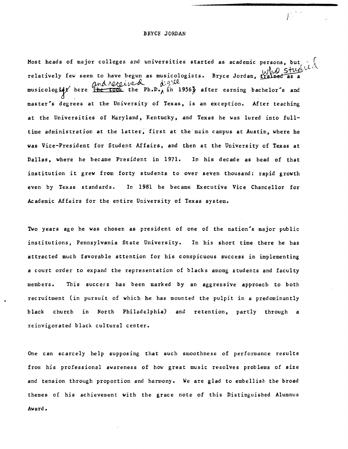## BRYCE JORDAN

长

Most heads of major colleges and universities started as academic persons, but es and universities started as academic persons, but  $\cdot$ . relatively few seem to have begun as musicologists. Bryce Jordan, trained as a and received digree musicologity here (he took the Ph.D., in 1956) after earning bachelor's and master's degrees at the University of Texas, is an exception. After teaching at the Universities of Maryland, Kentucky, and Texas he was lured into fulltime administration at the latter, first at the main campus at Austin, where he was Vice-President for Student Affairs. and then at the University of Texas at Dallas. where he became President in 1971. In his decade as head of that institution it grew from forty students to over seven thousand: rapid growth even by Texas standards. In 1981 he became Executive Vice Chancellor for Academic Affairs for the entire University of Texas system.

Two years ago he was chosen as president of one of the nation's major public institutions, Pennsylvania State University. In his short time there he has attrac ted much favorable attention for his conspicuous success in implementing a court order to expand the representation of blacks among students and faculty members. This succers has been marked by an aggressive approach to both recruitment (in pursuit of which he has mounted the pulpit in a predominantly black church in North Philadelphia) and retention, partly through a reinvigorated black cultural center.

One can scarcely help supposing that such smoothness of performance results from his professional awareness of how great music resolves problems of size and tension through proportion and harmony. We are glad to embellish the broad themes of his achievement with the grace note of this Distinguished Alumnus Award.